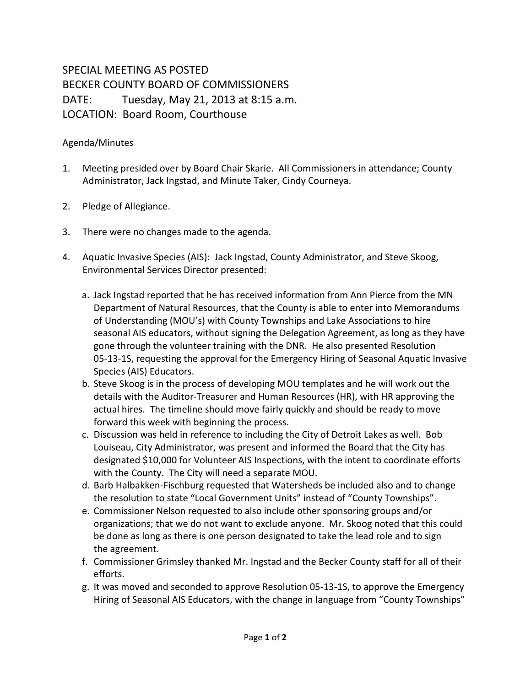## SPECIAL MEETING AS POSTED BECKER COUNTY BOARD OF COMMISSIONERS DATE: Tuesday, May 21, 2013 at 8:15 a.m. LOCATION: Board Room, Courthouse

## Agenda/Minutes

- 1. Meeting presided over by Board Chair Skarie. All Commissioners in attendance; County Administrator, Jack Ingstad, and Minute Taker, Cindy Courneya.
- 2. Pledge of Allegiance.
- 3. There were no changes made to the agenda.
- 4. Aquatic Invasive Species (AIS): Jack Ingstad, County Administrator, and Steve Skoog, Environmental Services Director presented:
	- a. Jack Ingstad reported that he has received information from Ann Pierce from the MN Department of Natural Resources, that the County is able to enter into Memorandums of Understanding (MOU's) with County Townships and Lake Associations to hire seasonal AIS educators, without signing the Delegation Agreement, as long as they have gone through the volunteer training with the DNR. He also presented Resolution 05-13-1S, requesting the approval for the Emergency Hiring of Seasonal Aquatic Invasive Species (AIS) Educators.
	- b. Steve Skoog is in the process of developing MOU templates and he will work out the details with the Auditor-Treasurer and Human Resources (HR), with HR approving the actual hires. The timeline should move fairly quickly and should be ready to move forward this week with beginning the process.
	- c. Discussion was held in reference to including the City of Detroit Lakes as well. Bob Louiseau, City Administrator, was present and informed the Board that the City has designated \$10,000 for Volunteer AIS Inspections, with the intent to coordinate efforts with the County. The City will need a separate MOU.
	- d. Barb Halbakken-Fischburg requested that Watersheds be included also and to change the resolution to state "Local Government Units" instead of "County Townships".
	- e. Commissioner Nelson requested to also include other sponsoring groups and/or organizations; that we do not want to exclude anyone. Mr. Skoog noted that this could be done as long as there is one person designated to take the lead role and to sign the agreement.
	- f. Commissioner Grimsley thanked Mr. Ingstad and the Becker County staff for all of their efforts.
	- g. It was moved and seconded to approve Resolution 05-13-1S, to approve the Emergency Hiring of Seasonal AIS Educators, with the change in language from "County Townships"